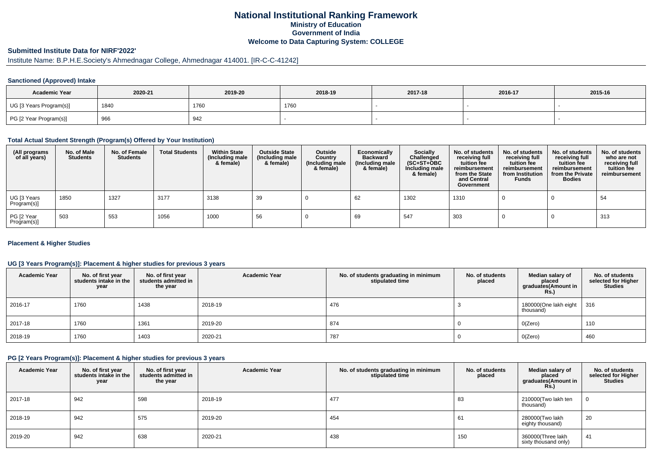## **National Institutional Ranking FrameworkMinistry of Education Government of IndiaWelcome to Data Capturing System: COLLEGE**

# **Submitted Institute Data for NIRF'2022'**

# Institute Name: B.P.H.E.Society's Ahmednagar College, Ahmednagar 414001. [IR-C-C-41242]

### **Sanctioned (Approved) Intake**

| <b>Academic Year</b>    | 2020-21 | 2019-20 | 2018-19 | 2017-18 | 2016-17 | 2015-16 |
|-------------------------|---------|---------|---------|---------|---------|---------|
| UG [3 Years Program(s)] | 1840    | 1760    | 1760    |         |         |         |
| PG [2 Year Program(s)]  | 966     | 942     |         |         |         |         |

#### **Total Actual Student Strength (Program(s) Offered by Your Institution)**

| (All programs<br>of all years) | No. of Male<br>Students | No. of Female<br><b>Students</b> | <b>Total Students</b> | <b>Within State</b><br>(Including male<br>& female) | <b>Outside State</b><br>(Including male<br>& female) | Outside<br>Country<br>(Including male<br>& female) | Economically<br><b>Backward</b><br>(Including male<br>& female) | <b>Socially</b><br>Challenged<br>$(SC+ST+OBC)$<br>Including male<br>& female) | No. of students<br>receiving full<br>tuition fee<br>reimbursement<br>from the State<br>and Central<br>Government | No. of students<br>receiving full<br>tuition fee<br>reimbursement<br>from Institution<br><b>Funds</b> | No. of students<br>receiving full<br>tuition fee<br>reimbursement<br>from the Private<br><b>Bodies</b> | No. of students<br>who are not<br>receiving full<br>tuition fee<br>reimbursement |
|--------------------------------|-------------------------|----------------------------------|-----------------------|-----------------------------------------------------|------------------------------------------------------|----------------------------------------------------|-----------------------------------------------------------------|-------------------------------------------------------------------------------|------------------------------------------------------------------------------------------------------------------|-------------------------------------------------------------------------------------------------------|--------------------------------------------------------------------------------------------------------|----------------------------------------------------------------------------------|
| UG [3 Years<br>Program(s)]     | 1850                    | 1327                             | 3177                  | 3138                                                | 39                                                   |                                                    | 62                                                              | 1302                                                                          | 1310                                                                                                             |                                                                                                       |                                                                                                        | 54                                                                               |
| PG [2 Year<br>Program(s)]      | 503                     | 553                              | 1056                  | 1000                                                | 56                                                   |                                                    | 69                                                              | 547                                                                           | 303                                                                                                              |                                                                                                       |                                                                                                        | 313                                                                              |

### **Placement & Higher Studies**

### **UG [3 Years Program(s)]: Placement & higher studies for previous 3 years**

| <b>Academic Year</b> | No. of first year<br>students intake in the<br>year | No. of first year<br>students admitted in<br>the year | <b>Academic Year</b> | No. of students graduating in minimum<br>stipulated time | No. of students<br>placed | Median salary of<br>placed<br>graduates(Amount in<br>Rs. | No. of students<br>selected for Higher<br><b>Studies</b> |
|----------------------|-----------------------------------------------------|-------------------------------------------------------|----------------------|----------------------------------------------------------|---------------------------|----------------------------------------------------------|----------------------------------------------------------|
| 2016-17              | 1760                                                | 1438                                                  | 2018-19              | 476                                                      |                           | 180000(One lakh eight<br>thousand)                       | 316                                                      |
| 2017-18              | 1760                                                | 1361                                                  | 2019-20              | 874                                                      |                           | O(Zero)                                                  | 110                                                      |
| 2018-19              | 1760                                                | 1403                                                  | 2020-21              | 787                                                      |                           | O(Zero)                                                  | 460                                                      |

#### **PG [2 Years Program(s)]: Placement & higher studies for previous 3 years**

| <b>Academic Year</b> | No. of first year<br>students intake in the<br>year | No. of first year<br>students admitted in<br>the year | <b>Academic Year</b> | No. of students graduating in minimum<br>stipulated time | No. of students<br>placed | Median salary of<br>placed<br>graduates(Amount in<br>$RS$ .) | No. of students<br>selected for Higher<br><b>Studies</b> |
|----------------------|-----------------------------------------------------|-------------------------------------------------------|----------------------|----------------------------------------------------------|---------------------------|--------------------------------------------------------------|----------------------------------------------------------|
| 2017-18              | 942                                                 | 598                                                   | 2018-19              | 477                                                      | 83                        | 210000(Two lakh ten<br>thousand)                             |                                                          |
| 2018-19              | 942                                                 | 575                                                   | 2019-20              | 454                                                      | וס                        | 280000(Two lakh<br>eighty thousand)                          | 20                                                       |
| 2019-20              | 942                                                 | 638                                                   | 2020-21              | 438                                                      | 150                       | 360000(Three lakh<br>sixty thousand only)                    | 41                                                       |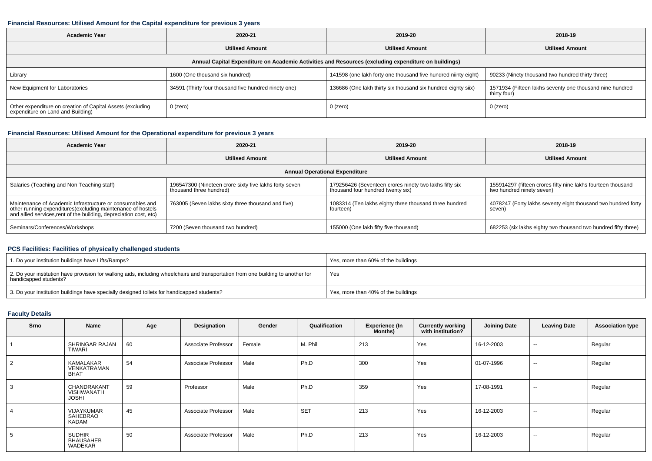#### **Financial Resources: Utilised Amount for the Capital expenditure for previous 3 years**

| <b>Academic Year</b>                                                                            | 2020-21<br><b>Utilised Amount</b>                    |                                                                                                      | 2018-19                                                                  |
|-------------------------------------------------------------------------------------------------|------------------------------------------------------|------------------------------------------------------------------------------------------------------|--------------------------------------------------------------------------|
|                                                                                                 |                                                      | <b>Utilised Amount</b>                                                                               | <b>Utilised Amount</b>                                                   |
|                                                                                                 |                                                      | Annual Capital Expenditure on Academic Activities and Resources (excluding expenditure on buildings) |                                                                          |
| Library                                                                                         | 1600 (One thousand six hundred)                      | 141598 (one lakh forty one thousand five hundred niinty eight)                                       | 90233 (Ninety thousand two hundred thirty three)                         |
| New Equipment for Laboratories                                                                  | 34591 (Thirty four thousand five hundred ninety one) | 136686 (One lakh thirty six thousand six hundred eighty siix)                                        | 1571934 (Fifteen lakhs seventy one thousand nine hundred<br>thirty four) |
| Other expenditure on creation of Capital Assets (excluding<br>expenditure on Land and Building) | 0 (zero)                                             | 0 (zero)                                                                                             | 0 (zero)                                                                 |

### **Financial Resources: Utilised Amount for the Operational expenditure for previous 3 years**

| <b>Academic Year</b>                                                                                                                                                                            | 2020-21                                                                           | 2019-20                                                                                     | 2018-19                                                                                   |  |  |
|-------------------------------------------------------------------------------------------------------------------------------------------------------------------------------------------------|-----------------------------------------------------------------------------------|---------------------------------------------------------------------------------------------|-------------------------------------------------------------------------------------------|--|--|
|                                                                                                                                                                                                 | <b>Utilised Amount</b>                                                            | <b>Utilised Amount</b>                                                                      | <b>Utilised Amount</b>                                                                    |  |  |
|                                                                                                                                                                                                 |                                                                                   | <b>Annual Operational Expenditure</b>                                                       |                                                                                           |  |  |
| Salaries (Teaching and Non Teaching staff)                                                                                                                                                      | 196547300 (Nineteen crore sixty five lakhs forty seven<br>thousand three hundred) | 179256426 (Seventeen crores ninety two lakhs fifty six<br>thousand four hundred twenty six) | 155914297 (fifteen crores fifty nine lakhs fourteen thousand<br>two hundred ninety seven) |  |  |
| Maintenance of Academic Infrastructure or consumables and<br>other running expenditures (excluding maintenance of hostels<br>and allied services, rent of the building, depreciation cost, etc) | 763005 (Seven lakhs sixty three thousand and five)                                | 1083314 (Ten lakhs eighty three thousand three hundred<br>fourteen)                         | 4078247 (Forty lakhs seventy eight thousand two hundred forty<br>seven)                   |  |  |
| Seminars/Conferences/Workshops                                                                                                                                                                  | 7200 (Seven thousand two hundred)                                                 | 155000 (One lakh fifty five thousand)                                                       | 682253 (six lakhs eighty two thousand two hundred fifty three)                            |  |  |

### **PCS Facilities: Facilities of physically challenged students**

| 1. Do your institution buildings have Lifts/Ramps?                                                                                                         | Yes, more than 60% of the buildings |
|------------------------------------------------------------------------------------------------------------------------------------------------------------|-------------------------------------|
| 2. Do your institution have provision for walking aids, including wheelchairs and transportation from one building to another for<br>handicapped students? | Yes                                 |
| 3. Do your institution buildings have specially designed toilets for handicapped students?                                                                 | Yes, more than 40% of the buildings |

### **Faculty Details**

| Srno           | Name                                             | Age | Designation                | Gender | Qualification   | <b>Experience (In</b><br>Months) | <b>Currently working</b><br>with institution? | <b>Joining Date</b> | <b>Leaving Date</b>      | <b>Association type</b> |
|----------------|--------------------------------------------------|-----|----------------------------|--------|-----------------|----------------------------------|-----------------------------------------------|---------------------|--------------------------|-------------------------|
|                | SHRINGAR RAJAN<br>TIWARI                         | 60  | Associate Professor        | Female | M. Phil         | 213                              | Yes                                           | 16-12-2003          | $\overline{\phantom{m}}$ | Regular                 |
| $\overline{2}$ | KAMALAKAR<br>VENKATRAMAN<br><b>BHAT</b>          | 54  | Associate Professor        | Male   | Ph.D            | 300                              | Yes                                           | 01-07-1996          | $\sim$                   | Regular                 |
| -3             | CHANDRAKANT<br><b>VISHWANATH</b><br><b>JOSHI</b> | 59  | Professor                  | Male   | Ph.D            | 359                              | Yes                                           | 17-08-1991          | $\sim$                   | Regular                 |
| -4             | VIJAYKUMAR<br>SAHEBRAO<br>KADAM                  | 45  | Associate Professor        | Male   | SE <sub>1</sub> | 213                              | Yes                                           | 16-12-2003          | $\sim$                   | Regular                 |
| - 33           | <b>SUDHIR</b><br><b>BHAUSAHEB</b><br>WADEKAR     | 50  | <b>Associate Professor</b> | Male   | Ph.D            | 213                              | Yes                                           | 16-12-2003          | $\sim$                   | Regular                 |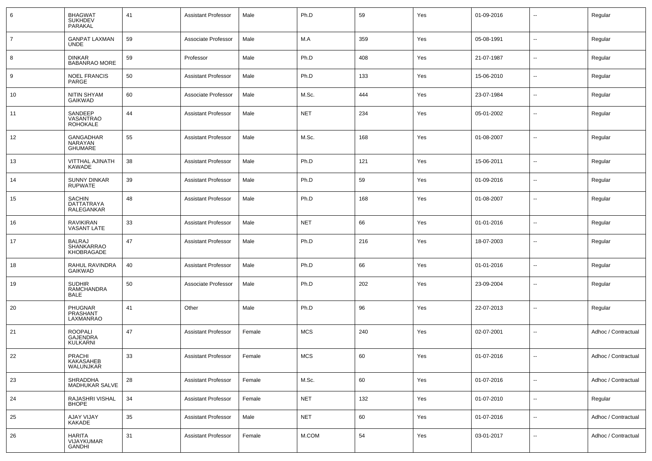| 6              | <b>BHAGWAT</b><br><b>SUKHDEV</b><br>PARAKAL          | 41 | <b>Assistant Professor</b> | Male   | Ph.D       | 59  | Yes | 01-09-2016 | --                       | Regular             |
|----------------|------------------------------------------------------|----|----------------------------|--------|------------|-----|-----|------------|--------------------------|---------------------|
| $\overline{7}$ | <b>GANPAT LAXMAN</b><br><b>UNDE</b>                  | 59 | Associate Professor        | Male   | M.A        | 359 | Yes | 05-08-1991 | $\overline{\phantom{a}}$ | Regular             |
| 8              | <b>DINKAR</b><br><b>BABANRAO MORE</b>                | 59 | Professor                  | Male   | Ph.D       | 408 | Yes | 21-07-1987 | ⊷.                       | Regular             |
| 9              | <b>NOEL FRANCIS</b><br>PARGE                         | 50 | <b>Assistant Professor</b> | Male   | Ph.D       | 133 | Yes | 15-06-2010 | $\overline{\phantom{a}}$ | Regular             |
| 10             | NITIN SHYAM<br><b>GAIKWAD</b>                        | 60 | Associate Professor        | Male   | M.Sc.      | 444 | Yes | 23-07-1984 | $\overline{\phantom{a}}$ | Regular             |
| 11             | SANDEEP<br>VASANTRAO<br><b>ROHOKALE</b>              | 44 | <b>Assistant Professor</b> | Male   | <b>NET</b> | 234 | Yes | 05-01-2002 | $\overline{\phantom{a}}$ | Regular             |
| 12             | GANGADHAR<br>NARAYAN<br><b>GHUMARE</b>               | 55 | <b>Assistant Professor</b> | Male   | M.Sc.      | 168 | Yes | 01-08-2007 | --                       | Regular             |
| 13             | VITTHAL AJINATH<br><b>KAWADE</b>                     | 38 | <b>Assistant Professor</b> | Male   | Ph.D       | 121 | Yes | 15-06-2011 | $\overline{\phantom{a}}$ | Regular             |
| 14             | <b>SUNNY DINKAR</b><br><b>RUPWATE</b>                | 39 | <b>Assistant Professor</b> | Male   | Ph.D       | 59  | Yes | 01-09-2016 | $\overline{\phantom{a}}$ | Regular             |
| 15             | <b>SACHIN</b><br>DATTATRAYA<br><b>RALEGANKAR</b>     | 48 | <b>Assistant Professor</b> | Male   | Ph.D       | 168 | Yes | 01-08-2007 | $\overline{\phantom{a}}$ | Regular             |
| 16             | <b>RAVIKIRAN</b><br><b>VASANT LATE</b>               | 33 | <b>Assistant Professor</b> | Male   | <b>NET</b> | 66  | Yes | 01-01-2016 | -−                       | Regular             |
| 17             | BALRAJ<br><b>SHANKARRAO</b><br>KHOBRAGADE            | 47 | <b>Assistant Professor</b> | Male   | Ph.D       | 216 | Yes | 18-07-2003 | --                       | Regular             |
| 18             | RAHUL RAVINDRA<br><b>GAIKWAD</b>                     | 40 | <b>Assistant Professor</b> | Male   | Ph.D       | 66  | Yes | 01-01-2016 | --                       | Regular             |
| 19             | <b>SUDHIR</b><br><b>RAMCHANDRA</b><br><b>BALE</b>    | 50 | Associate Professor        | Male   | Ph.D       | 202 | Yes | 23-09-2004 | --                       | Regular             |
| 20             | <b>PHUGNAR</b><br>PRASHANT<br>LAXMANRAO              | 41 | Other                      | Male   | Ph.D       | 96  | Yes | 22-07-2013 | $\overline{\phantom{a}}$ | Regular             |
| 21             | <b>ROOPALI</b><br><b>GAJENDRA</b><br><b>KULKARNI</b> | 47 | <b>Assistant Professor</b> | Female | <b>MCS</b> | 240 | Yes | 02-07-2001 | $\overline{\phantom{a}}$ | Adhoc / Contractual |
| 22             | PRACHI<br>KAKASAHEB<br>WALUNJKAR                     | 33 | Assistant Professor        | Female | <b>MCS</b> | 60  | Yes | 01-07-2016 |                          | Adhoc / Contractual |
| 23             | SHRADDHA<br>MADHUKAR SALVE                           | 28 | <b>Assistant Professor</b> | Female | M.Sc.      | 60  | Yes | 01-07-2016 | $\sim$                   | Adhoc / Contractual |
| 24             | RAJASHRI VISHAL<br><b>BHOPE</b>                      | 34 | <b>Assistant Professor</b> | Female | <b>NET</b> | 132 | Yes | 01-07-2010 | $\sim$                   | Regular             |
| 25             | AJAY VIJAY<br><b>KAKADE</b>                          | 35 | <b>Assistant Professor</b> | Male   | <b>NET</b> | 60  | Yes | 01-07-2016 | $\sim$                   | Adhoc / Contractual |
| 26             | <b>HARITA</b><br><b>VIJAYKUMAR</b><br>GANDHI         | 31 | <b>Assistant Professor</b> | Female | M.COM      | 54  | Yes | 03-01-2017 | н.                       | Adhoc / Contractual |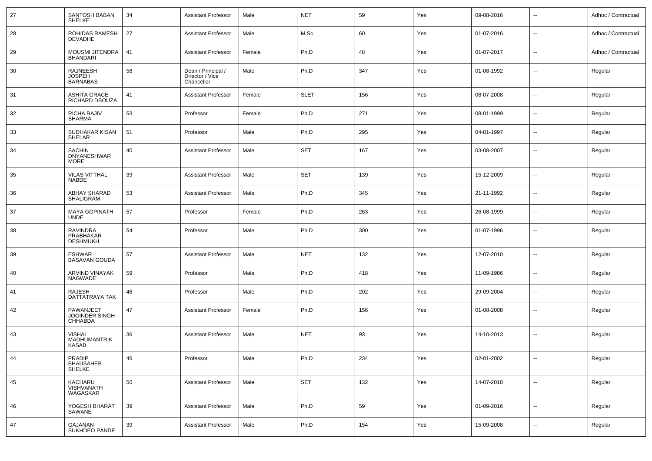| 27 | SANTOSH BABAN<br><b>SHELKE</b>                       | 34 | <b>Assistant Professor</b>                          | Male   | <b>NET</b>  | 59  | Yes | 09-08-2016 | $\overline{\phantom{a}}$ | Adhoc / Contractual |
|----|------------------------------------------------------|----|-----------------------------------------------------|--------|-------------|-----|-----|------------|--------------------------|---------------------|
| 28 | ROHIDAS RAMESH<br><b>DEVADHE</b>                     | 27 | <b>Assistant Professor</b>                          | Male   | M.Sc.       | 60  | Yes | 01-07-2016 | $\overline{\phantom{a}}$ | Adhoc / Contractual |
| 29 | MOUSMI JITENDRA<br><b>BHANDARI</b>                   | 41 | <b>Assistant Professor</b>                          | Female | Ph.D        | 48  | Yes | 01-07-2017 | $\overline{\phantom{a}}$ | Adhoc / Contractual |
| 30 | RAJNEESH<br><b>JOSPEH</b><br><b>BARNABAS</b>         | 58 | Dean / Principal /<br>Director / Vice<br>Chancellor | Male   | Ph.D        | 347 | Yes | 01-08-1992 | $\overline{\phantom{a}}$ | Regular             |
| 31 | <b>ASHITA GRACE</b><br>RICHARD DSOUZA                | 41 | <b>Assistant Professor</b>                          | Female | <b>SLET</b> | 156 | Yes | 08-07-2008 | $\mathbf{u}$             | Regular             |
| 32 | RICHA RAJIV<br>SHARMA                                | 53 | Professor                                           | Female | Ph.D        | 271 | Yes | 08-01-1999 | $\overline{\phantom{a}}$ | Regular             |
| 33 | SUDHAKAR KISAN<br><b>SHELAR</b>                      | 51 | Professor                                           | Male   | Ph.D        | 295 | Yes | 04-01-1997 | $\overline{\phantom{a}}$ | Regular             |
| 34 | <b>SACHIN</b><br><b>DNYANESHWAR</b><br><b>MORE</b>   | 40 | <b>Assistant Professor</b>                          | Male   | <b>SET</b>  | 167 | Yes | 03-08-2007 | $\overline{\phantom{a}}$ | Regular             |
| 35 | <b>VILAS VITTHAL</b><br><b>NABDE</b>                 | 39 | <b>Assistant Professor</b>                          | Male   | <b>SET</b>  | 139 | Yes | 15-12-2009 | $\sim$                   | Regular             |
| 36 | ABHAY SHARAD<br>SHALIGRAM                            | 53 | <b>Assistant Professor</b>                          | Male   | Ph.D        | 345 | Yes | 21-11-1992 | $\overline{\phantom{a}}$ | Regular             |
| 37 | <b>MAYA GOPINATH</b><br><b>UNDE</b>                  | 57 | Professor                                           | Female | Ph.D        | 263 | Yes | 26-08-1999 | $\sim$                   | Regular             |
| 38 | <b>RAVINDRA</b><br>PRABHAKAR<br><b>DESHMUKH</b>      | 54 | Professor                                           | Male   | Ph.D        | 300 | Yes | 01-07-1996 | $\mathbf{u}$             | Regular             |
| 39 | <b>ESHWAR</b><br><b>BASAVAN GOUDA</b>                | 57 | <b>Assistant Professor</b>                          | Male   | <b>NET</b>  | 132 | Yes | 12-07-2010 | $\sim$                   | Regular             |
| 40 | ARVIND VINAYAK<br><b>NAGWADE</b>                     | 59 | Professor                                           | Male   | Ph.D        | 418 | Yes | 11-09-1986 | $\overline{\phantom{a}}$ | Regular             |
| 41 | <b>RAJESH</b><br>DATTATRAYA TAK                      | 46 | Professor                                           | Male   | Ph.D        | 202 | Yes | 29-09-2004 | $\overline{\phantom{a}}$ | Regular             |
| 42 | PAWANJEET<br>JOGINDER SINGH<br><b>CHHABDA</b>        | 47 | <b>Assistant Professor</b>                          | Female | Ph.D        | 156 | Yes | 01-08-2008 | $\overline{\phantom{a}}$ | Regular             |
| 43 | <b>VISHAL</b><br><b>MADHUMANTRIK</b><br><b>KASAB</b> | 36 | <b>Assistant Professor</b>                          | Male   | <b>NET</b>  | 93  | Yes | 14-10-2013 | $\overline{\phantom{a}}$ | Regular             |
| 44 | PRADIP<br><b>BHAUSAHEB</b><br>SHELKE                 | 46 | Professor                                           | Male   | Ph.D        | 234 | Yes | 02-01-2002 | $\overline{\phantom{a}}$ | Regular             |
| 45 | KACHARU<br>VISHVANATH<br>WAGASKAR                    | 50 | <b>Assistant Professor</b>                          | Male   | <b>SET</b>  | 132 | Yes | 14-07-2010 | ۰.                       | Regular             |
| 46 | YOGESH BHARAT<br>SAWANE                              | 39 | <b>Assistant Professor</b>                          | Male   | Ph.D        | 59  | Yes | 01-09-2016 | $\sim$                   | Regular             |
| 47 | GAJANAN<br>SUKHDEO PANDE                             | 39 | <b>Assistant Professor</b>                          | Male   | Ph.D        | 154 | Yes | 15-09-2008 | ۰.                       | Regular             |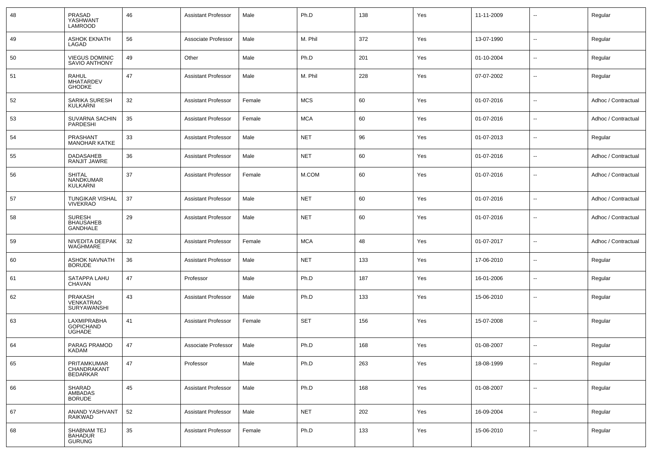| 48 | PRASAD<br>YASHWANT<br>LAMROOD                        | 46 | <b>Assistant Professor</b> | Male   | Ph.D       | 138 | Yes | 11-11-2009 | $\overline{\phantom{a}}$ | Regular             |
|----|------------------------------------------------------|----|----------------------------|--------|------------|-----|-----|------------|--------------------------|---------------------|
| 49 | <b>ASHOK EKNATH</b><br>LAGAD                         | 56 | Associate Professor        | Male   | M. Phil    | 372 | Yes | 13-07-1990 | $\overline{\phantom{a}}$ | Regular             |
| 50 | <b>VIEGUS DOMINIC</b><br>SAVIO ANTHONY               | 49 | Other                      | Male   | Ph.D       | 201 | Yes | 01-10-2004 | $\overline{\phantom{a}}$ | Regular             |
| 51 | <b>RAHUL</b><br>MHATARDEV<br><b>GHODKE</b>           | 47 | <b>Assistant Professor</b> | Male   | M. Phil    | 228 | Yes | 07-07-2002 | $\overline{\phantom{a}}$ | Regular             |
| 52 | SARIKA SURESH<br>KULKARNI                            | 32 | <b>Assistant Professor</b> | Female | <b>MCS</b> | 60  | Yes | 01-07-2016 | $\overline{\phantom{a}}$ | Adhoc / Contractual |
| 53 | SUVARNA SACHIN<br>PARDESHI                           | 35 | <b>Assistant Professor</b> | Female | <b>MCA</b> | 60  | Yes | 01-07-2016 | $\sim$                   | Adhoc / Contractual |
| 54 | PRASHANT<br><b>MANOHAR KATKE</b>                     | 33 | <b>Assistant Professor</b> | Male   | <b>NET</b> | 96  | Yes | 01-07-2013 | $\overline{\phantom{a}}$ | Regular             |
| 55 | DADASAHEB<br>RANJIT JAWRE                            | 36 | <b>Assistant Professor</b> | Male   | <b>NET</b> | 60  | Yes | 01-07-2016 | $\overline{\phantom{a}}$ | Adhoc / Contractual |
| 56 | <b>SHITAL</b><br>NANDKUMAR<br>KULKARNI               | 37 | <b>Assistant Professor</b> | Female | M.COM      | 60  | Yes | 01-07-2016 | $\overline{\phantom{a}}$ | Adhoc / Contractual |
| 57 | <b>TUNGIKAR VISHAL</b><br><b>VIVEKRAO</b>            | 37 | <b>Assistant Professor</b> | Male   | <b>NET</b> | 60  | Yes | 01-07-2016 | $\overline{\phantom{a}}$ | Adhoc / Contractual |
| 58 | <b>SURESH</b><br><b>BHAUSAHEB</b><br><b>GANDHALE</b> | 29 | <b>Assistant Professor</b> | Male   | <b>NET</b> | 60  | Yes | 01-07-2016 | $\overline{\phantom{a}}$ | Adhoc / Contractual |
| 59 | NIVEDITA DEEPAK<br>WAGHMARE                          | 32 | <b>Assistant Professor</b> | Female | <b>MCA</b> | 48  | Yes | 01-07-2017 | $\overline{\phantom{a}}$ | Adhoc / Contractual |
| 60 | <b>ASHOK NAVNATH</b><br><b>BORUDE</b>                | 36 | <b>Assistant Professor</b> | Male   | <b>NET</b> | 133 | Yes | 17-06-2010 | $\overline{\phantom{a}}$ | Regular             |
| 61 | SATAPPA LAHU<br>CHAVAN                               | 47 | Professor                  | Male   | Ph.D       | 187 | Yes | 16-01-2006 | $\overline{\phantom{a}}$ | Regular             |
| 62 | PRAKASH<br><b>VENKATRAO</b><br>SURYAWANSHI           | 43 | <b>Assistant Professor</b> | Male   | Ph.D       | 133 | Yes | 15-06-2010 | $\overline{\phantom{a}}$ | Regular             |
| 63 | LAXMIPRABHA<br><b>GOPICHAND</b><br><b>UGHADE</b>     | 41 | <b>Assistant Professor</b> | Female | SET        | 156 | Yes | 15-07-2008 | $\overline{\phantom{a}}$ | Regular             |
| 64 | PARAG PRAMOD<br><b>KADAM</b>                         | 47 | Associate Professor        | Male   | Ph.D       | 168 | Yes | 01-08-2007 | $\overline{\phantom{a}}$ | Regular             |
| 65 | PRITAMKUMAR<br>CHANDRAKANT<br>BEDARKAR               | 47 | Professor                  | Male   | Ph.D       | 263 | Yes | 18-08-1999 | $\overline{\phantom{a}}$ | Regular             |
| 66 | SHARAD<br>AMBADAS<br><b>BORUDE</b>                   | 45 | <b>Assistant Professor</b> | Male   | Ph.D       | 168 | Yes | 01-08-2007 | $\overline{\phantom{a}}$ | Regular             |
| 67 | ANAND YASHVANT<br>RAIKWAD                            | 52 | <b>Assistant Professor</b> | Male   | <b>NET</b> | 202 | Yes | 16-09-2004 | Ξ.                       | Regular             |
| 68 | SHABNAM TEJ<br><b>BAHADUR</b><br><b>GURUNG</b>       | 35 | <b>Assistant Professor</b> | Female | Ph.D       | 133 | Yes | 15-06-2010 | ۰.                       | Regular             |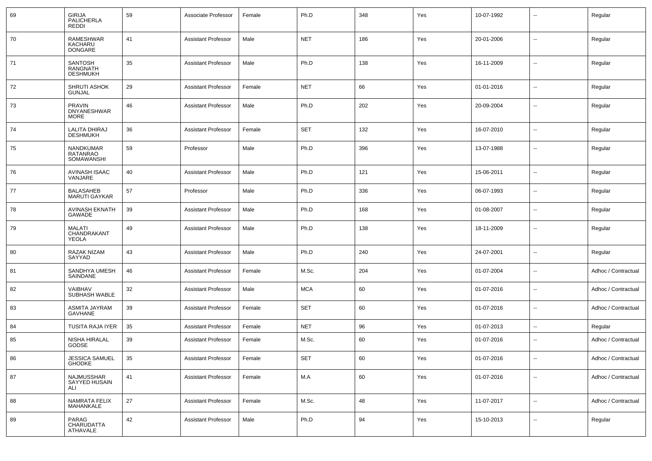| 69  | <b>GIRIJA</b><br><b>PALICHERLA</b><br><b>REDDI</b> | 59 | Associate Professor        | Female | Ph.D       | 348 | Yes | 10-07-1992 | $\overline{a}$           | Regular             |
|-----|----------------------------------------------------|----|----------------------------|--------|------------|-----|-----|------------|--------------------------|---------------------|
| 70  | RAMESHWAR<br>KACHARU<br><b>DONGARE</b>             | 41 | <b>Assistant Professor</b> | Male   | <b>NET</b> | 186 | Yes | 20-01-2006 | --                       | Regular             |
| 71  | SANTOSH<br>RANGNATH<br><b>DESHMUKH</b>             | 35 | <b>Assistant Professor</b> | Male   | Ph.D       | 138 | Yes | 16-11-2009 | $\overline{\phantom{a}}$ | Regular             |
| 72  | <b>SHRUTI ASHOK</b><br><b>GUNJAL</b>               | 29 | <b>Assistant Professor</b> | Female | <b>NET</b> | 66  | Yes | 01-01-2016 | Ξ.                       | Regular             |
| 73  | <b>PRAVIN</b><br><b>DNYANESHWAR</b><br><b>MORE</b> | 46 | <b>Assistant Professor</b> | Male   | Ph.D       | 202 | Yes | 20-09-2004 | $\sim$                   | Regular             |
| 74  | LALITA DHIRAJ<br><b>DESHMUKH</b>                   | 36 | <b>Assistant Professor</b> | Female | <b>SET</b> | 132 | Yes | 16-07-2010 | $\overline{\phantom{a}}$ | Regular             |
| 75  | NANDKUMAR<br>RATANRAO<br>SOMAWANSHI                | 59 | Professor                  | Male   | Ph.D       | 396 | Yes | 13-07-1988 | $\overline{\phantom{a}}$ | Regular             |
| -76 | AVINASH ISAAC<br>VANJARE                           | 40 | <b>Assistant Professor</b> | Male   | Ph.D       | 121 | Yes | 15-06-2011 | --                       | Regular             |
| 77  | <b>BALASAHEB</b><br><b>MARUTI GAYKAR</b>           | 57 | Professor                  | Male   | Ph.D       | 336 | Yes | 06-07-1993 | --                       | Regular             |
| 78  | <b>AVINASH EKNATH</b><br>GAWADE                    | 39 | <b>Assistant Professor</b> | Male   | Ph.D       | 168 | Yes | 01-08-2007 | --                       | Regular             |
| 79  | <b>MALATI</b><br>CHANDRAKANT<br><b>YEOLA</b>       | 49 | <b>Assistant Professor</b> | Male   | Ph.D       | 138 | Yes | 18-11-2009 | --                       | Regular             |
| 80  | RAZAK NIZAM<br>SAYYAD                              | 43 | <b>Assistant Professor</b> | Male   | Ph.D       | 240 | Yes | 24-07-2001 | $\overline{\phantom{a}}$ | Regular             |
| 81  | SANDHYA UMESH<br>SAINDANE                          | 46 | <b>Assistant Professor</b> | Female | M.Sc.      | 204 | Yes | 01-07-2004 | $\overline{\phantom{a}}$ | Adhoc / Contractual |
| 82  | VAIBHAV<br>SUBHASH WABLE                           | 32 | <b>Assistant Professor</b> | Male   | <b>MCA</b> | 60  | Yes | 01-07-2016 | $\overline{\phantom{a}}$ | Adhoc / Contractual |
| 83  | ASMITA JAYRAM<br>GAVHANE                           | 39 | <b>Assistant Professor</b> | Female | <b>SET</b> | 60  | Yes | 01-07-2016 | $\overline{\phantom{a}}$ | Adhoc / Contractual |
| 84  | TUSITA RAJA IYER                                   | 35 | <b>Assistant Professor</b> | Female | <b>NET</b> | 96  | Yes | 01-07-2013 | $\sim$                   | Regular             |
| 85  | NISHA HIRALAL<br>GODSE                             | 39 | <b>Assistant Professor</b> | Female | M.Sc.      | 60  | Yes | 01-07-2016 | --                       | Adhoc / Contractual |
| 86  | JESSICA SAMUEL<br><b>GHODKE</b>                    | 35 | Assistant Professor        | Female | <b>SET</b> | 60  | Yes | 01-07-2016 | --                       | Adhoc / Contractual |
| 87  | NAJMUSSHAR<br>SAYYED HUSAIN<br>ALI                 | 41 | <b>Assistant Professor</b> | Female | M.A        | 60  | Yes | 01-07-2016 | н.                       | Adhoc / Contractual |
| 88  | NAMRATA FELIX<br><b>MAHANKALE</b>                  | 27 | <b>Assistant Professor</b> | Female | M.Sc.      | 48  | Yes | 11-07-2017 | $\sim$                   | Adhoc / Contractual |
| 89  | PARAG<br>CHARUDATTA<br>ATHAVALE                    | 42 | <b>Assistant Professor</b> | Male   | Ph.D       | 94  | Yes | 15-10-2013 | $\sim$                   | Regular             |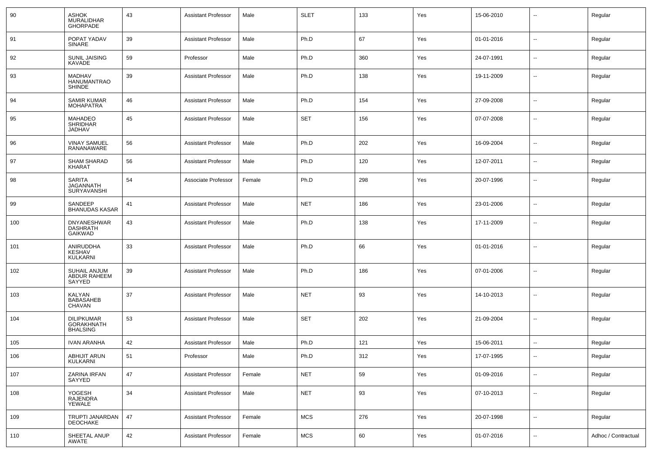| 90  | <b>ASHOK</b><br>MURALIDHAR<br><b>GHORPADE</b>             | 43 | <b>Assistant Professor</b> | Male   | <b>SLET</b> | 133 | Yes | 15-06-2010 | --                       | Regular             |
|-----|-----------------------------------------------------------|----|----------------------------|--------|-------------|-----|-----|------------|--------------------------|---------------------|
| 91  | POPAT YADAV<br>SINARE                                     | 39 | <b>Assistant Professor</b> | Male   | Ph.D        | 67  | Yes | 01-01-2016 | $\sim$                   | Regular             |
| 92  | <b>SUNIL JAISING</b><br>KAVADE                            | 59 | Professor                  | Male   | Ph.D        | 360 | Yes | 24-07-1991 | $\sim$                   | Regular             |
| 93  | <b>MADHAV</b><br><b>HANUMANTRAO</b><br><b>SHINDE</b>      | 39 | <b>Assistant Professor</b> | Male   | Ph.D        | 138 | Yes | 19-11-2009 | $\sim$                   | Regular             |
| 94  | <b>SAMIR KUMAR</b><br><b>MOHAPATRA</b>                    | 46 | <b>Assistant Professor</b> | Male   | Ph.D        | 154 | Yes | 27-09-2008 | $\sim$                   | Regular             |
| 95  | <b>MAHADEO</b><br><b>SHRIDHAR</b><br><b>JADHAV</b>        | 45 | <b>Assistant Professor</b> | Male   | <b>SET</b>  | 156 | Yes | 07-07-2008 | $\overline{\phantom{a}}$ | Regular             |
| 96  | VINAY SAMUEL<br>RANANAWARE                                | 56 | <b>Assistant Professor</b> | Male   | Ph.D        | 202 | Yes | 16-09-2004 | --                       | Regular             |
| 97  | SHAM SHARAD<br><b>KHARAT</b>                              | 56 | <b>Assistant Professor</b> | Male   | Ph.D        | 120 | Yes | 12-07-2011 | --                       | Regular             |
| 98  | SARITA<br><b>JAGANNATH</b><br>SURYAVANSHI                 | 54 | Associate Professor        | Female | Ph.D        | 298 | Yes | 20-07-1996 | --                       | Regular             |
| 99  | SANDEEP<br><b>BHANUDAS KASAR</b>                          | 41 | <b>Assistant Professor</b> | Male   | <b>NET</b>  | 186 | Yes | 23-01-2006 | --                       | Regular             |
| 100 | DNYANESHWAR<br><b>DASHRATH</b><br><b>GAIKWAD</b>          | 43 | <b>Assistant Professor</b> | Male   | Ph.D        | 138 | Yes | 17-11-2009 | --                       | Regular             |
| 101 | ANIRUDDHA<br>KESHAV<br><b>KULKARNI</b>                    | 33 | <b>Assistant Professor</b> | Male   | Ph.D        | 66  | Yes | 01-01-2016 | --                       | Regular             |
| 102 | SUHAIL ANJUM<br>ABDUR RAHEEM<br>SAYYED                    | 39 | <b>Assistant Professor</b> | Male   | Ph.D        | 186 | Yes | 07-01-2006 | --                       | Regular             |
| 103 | <b>KALYAN</b><br><b>BABASAHEB</b><br><b>CHAVAN</b>        | 37 | <b>Assistant Professor</b> | Male   | <b>NET</b>  | 93  | Yes | 14-10-2013 | $\sim$                   | Regular             |
| 104 | <b>DILIPKUMAR</b><br><b>GORAKHNATH</b><br><b>BHALSING</b> | 53 | <b>Assistant Professor</b> | Male   | <b>SET</b>  | 202 | Yes | 21-09-2004 | $\sim$                   | Regular             |
| 105 | <b>IVAN ARANHA</b>                                        | 42 | <b>Assistant Professor</b> | Male   | Ph.D        | 121 | Yes | 15-06-2011 | Ξ.                       | Regular             |
| 106 | ABHIJIT ARUN<br><b>KULKARNI</b>                           | 51 | Professor                  | Male   | Ph.D        | 312 | Yes | 17-07-1995 |                          | Regular             |
| 107 | ZARINA IRFAN<br><b>SAYYED</b>                             | 47 | <b>Assistant Professor</b> | Female | <b>NET</b>  | 59  | Yes | 01-09-2016 | $\sim$                   | Regular             |
| 108 | YOGESH<br>RAJENDRA<br>YEWALE                              | 34 | <b>Assistant Professor</b> | Male   | <b>NET</b>  | 93  | Yes | 07-10-2013 | $\sim$                   | Regular             |
| 109 | TRUPTI JANARDAN<br>DEOCHAKE                               | 47 | Assistant Professor        | Female | <b>MCS</b>  | 276 | Yes | 20-07-1998 | $\sim$                   | Regular             |
| 110 | SHEETAL ANUP<br>AWATE                                     | 42 | Assistant Professor        | Female | MCS         | 60  | Yes | 01-07-2016 | $\sim$                   | Adhoc / Contractual |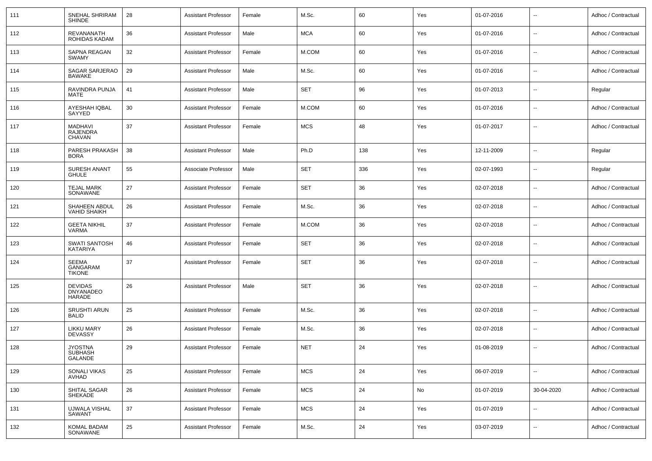| 111 | SNEHAL SHRIRAM<br><b>SHINDE</b>              | 28 | <b>Assistant Professor</b> | Female | M.Sc.      | 60  | Yes | 01-07-2016 |                          | Adhoc / Contractual |
|-----|----------------------------------------------|----|----------------------------|--------|------------|-----|-----|------------|--------------------------|---------------------|
| 112 | REVANANATH<br>ROHIDAS KADAM                  | 36 | <b>Assistant Professor</b> | Male   | <b>MCA</b> | 60  | Yes | 01-07-2016 |                          | Adhoc / Contractual |
| 113 | SAPNA REAGAN<br><b>SWAMY</b>                 | 32 | <b>Assistant Professor</b> | Female | M.COM      | 60  | Yes | 01-07-2016 | $\sim$                   | Adhoc / Contractual |
| 114 | SAGAR SARJERAO<br><b>BAWAKE</b>              | 29 | <b>Assistant Professor</b> | Male   | M.Sc.      | 60  | Yes | 01-07-2016 | $\overline{\phantom{a}}$ | Adhoc / Contractual |
| 115 | RAVINDRA PUNJA<br>MATE                       | 41 | <b>Assistant Professor</b> | Male   | <b>SET</b> | 96  | Yes | 01-07-2013 | $\overline{\phantom{a}}$ | Regular             |
| 116 | AYESHAH IQBAL<br>SAYYED                      | 30 | <b>Assistant Professor</b> | Female | M.COM      | 60  | Yes | 01-07-2016 | $\sim$                   | Adhoc / Contractual |
| 117 | MADHAVI<br><b>RAJENDRA</b><br>CHAVAN         | 37 | <b>Assistant Professor</b> | Female | <b>MCS</b> | 48  | Yes | 01-07-2017 | $\overline{\phantom{a}}$ | Adhoc / Contractual |
| 118 | PARESH PRAKASH<br><b>BORA</b>                | 38 | <b>Assistant Professor</b> | Male   | Ph.D       | 138 | Yes | 12-11-2009 | н,                       | Regular             |
| 119 | <b>SURESH ANANT</b><br><b>GHULE</b>          | 55 | Associate Professor        | Male   | <b>SET</b> | 336 | Yes | 02-07-1993 | н.                       | Regular             |
| 120 | <b>TEJAL MARK</b><br>SONAWANE                | 27 | <b>Assistant Professor</b> | Female | <b>SET</b> | 36  | Yes | 02-07-2018 | $\overline{\phantom{a}}$ | Adhoc / Contractual |
| 121 | SHAHEEN ABDUL<br><b>VAHID SHAIKH</b>         | 26 | <b>Assistant Professor</b> | Female | M.Sc.      | 36  | Yes | 02-07-2018 | $\overline{\phantom{a}}$ | Adhoc / Contractual |
| 122 | <b>GEETA NIKHIL</b><br>VARMA                 | 37 | <b>Assistant Professor</b> | Female | M.COM      | 36  | Yes | 02-07-2018 | н.                       | Adhoc / Contractual |
| 123 | <b>SWATI SANTOSH</b><br>KATARIYA             | 46 | <b>Assistant Professor</b> | Female | <b>SET</b> | 36  | Yes | 02-07-2018 | н.                       | Adhoc / Contractual |
| 124 | <b>SEEMA</b><br>GANGARAM<br><b>TIKONE</b>    | 37 | <b>Assistant Professor</b> | Female | <b>SET</b> | 36  | Yes | 02-07-2018 | н.                       | Adhoc / Contractual |
| 125 | <b>DEVIDAS</b><br><b>DNYANADEO</b><br>HARADE | 26 | <b>Assistant Professor</b> | Male   | <b>SET</b> | 36  | Yes | 02-07-2018 | ÷.                       | Adhoc / Contractual |
| 126 | <b>SRUSHTI ARUN</b><br><b>BALID</b>          | 25 | <b>Assistant Professor</b> | Female | M.Sc.      | 36  | Yes | 02-07-2018 | $\sim$                   | Adhoc / Contractual |
| 127 | <b>LIKKU MARY</b><br><b>DEVASSY</b>          | 26 | <b>Assistant Professor</b> | Female | M.Sc.      | 36  | Yes | 02-07-2018 | $\sim$                   | Adhoc / Contractual |
| 128 | <b>JYOSTNA</b><br><b>SUBHASH</b><br>GALANDE  | 29 | <b>Assistant Professor</b> | Female | <b>NET</b> | 24  | Yes | 01-08-2019 |                          | Adhoc / Contractual |
| 129 | SONALI VIKAS<br>AVHAD                        | 25 | <b>Assistant Professor</b> | Female | <b>MCS</b> | 24  | Yes | 06-07-2019 | $\ddot{\phantom{a}}$     | Adhoc / Contractual |
| 130 | SHITAL SAGAR<br><b>SHEKADE</b>               | 26 | <b>Assistant Professor</b> | Female | <b>MCS</b> | 24  | No  | 01-07-2019 | 30-04-2020               | Adhoc / Contractual |
| 131 | <b>UJWALA VISHAL</b><br>SAWANT               | 37 | <b>Assistant Professor</b> | Female | <b>MCS</b> | 24  | Yes | 01-07-2019 | $\sim$                   | Adhoc / Contractual |
| 132 | KOMAL BADAM<br>SONAWANE                      | 25 | <b>Assistant Professor</b> | Female | M.Sc.      | 24  | Yes | 03-07-2019 | $\sim$                   | Adhoc / Contractual |